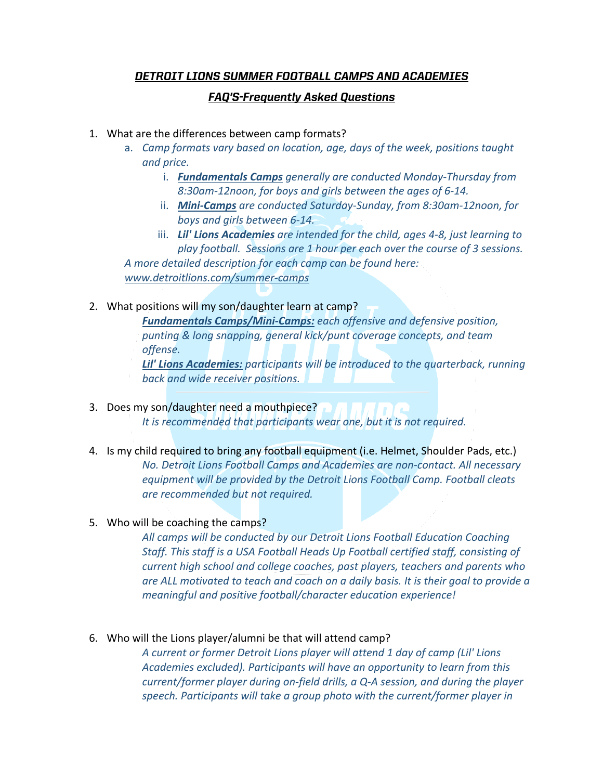# *DETROIT LIONS SUMMER FOOTBALL CAMPS AND ACADEMIES*

## *FAQ'S-Frequently Asked Questions*

- 1. What are the differences between camp formats?
	- a. *Camp formats vary based on location, age, days of the week, positions taught and price.* 
		- i. *Fundamentals Camps generally are conducted Monday-Thursday from 8:30am-12noon, for boys and girls between the ages of 6-14.*
		- ii. *Mini-Camps are conducted Saturday-Sunday, from 8:30am-12noon, for boys and girls between 6-14.*
	- iii. *Lil' Lions Academies are intended for the child, ages 4-8, just learning to play football. Sessions are 1 hour per each over the course of 3 sessions. A more detailed description for each camp can be found here:*

*www.detroitlions.com/summer-camps*

2. What positions will my son/daughter learn at camp?

*Fundamentals Camps/Mini-Camps: each offensive and defensive position, punting & long snapping, general kick/punt coverage concepts, and team offense.* 

*Lil' Lions Academies: participants will be introduced to the quarterback, running back and wide receiver positions.*

3. Does my son/daughter need a mouthpiece?

*It is recommended that participants wear one, but it is not required.* 

- 4. Is my child required to bring any football equipment (i.e. Helmet, Shoulder Pads, etc.) *No. Detroit Lions Football Camps and Academies are non-contact. All necessary equipment will be provided by the Detroit Lions Football Camp. Football cleats are recommended but not required.*
- 5. Who will be coaching the camps?

*All camps will be conducted by our Detroit Lions Football Education Coaching Staff. This staff is a USA Football Heads Up Football certified staff, consisting of current high school and college coaches, past players, teachers and parents who are ALL motivated to teach and coach on a daily basis. It is their goal to provide a meaningful and positive football/character education experience!* 

6. Who will the Lions player/alumni be that will attend camp?

*A current or former Detroit Lions player will attend 1 day of camp (Lil' Lions Academies excluded). Participants will have an opportunity to learn from this current/former player during on-field drills, a Q-A session, and during the player speech. Participants will take a group photo with the current/former player in*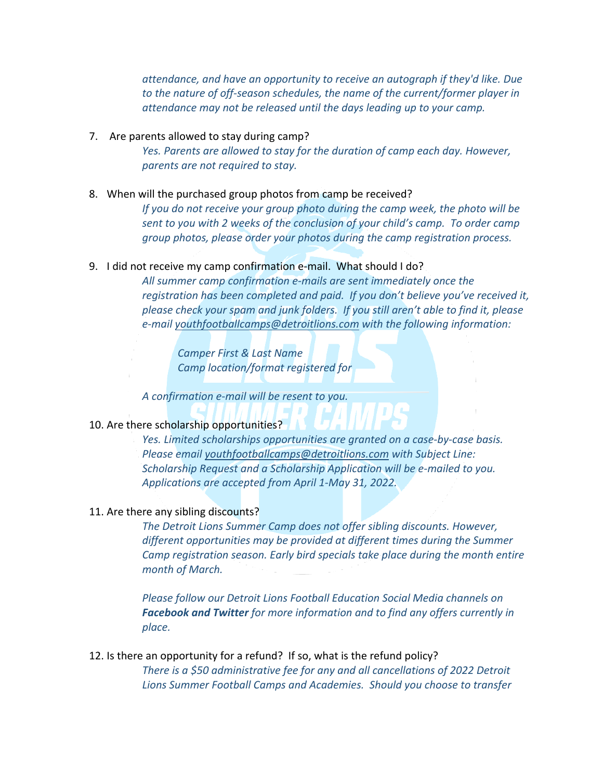*attendance, and have an opportunity to receive an autograph if they'd like. Due to the nature of off-season schedules, the name of the current/former player in attendance may not be released until the days leading up to your camp.* 

### 7. Are parents allowed to stay during camp?

*Yes. Parents are allowed to stay for the duration of camp each day. However, parents are not required to stay.* 

#### 8. When will the purchased group photos from camp be received?

*If you do not receive your group photo during the camp week, the photo will be sent to you with 2 weeks of the conclusion of your child's camp. To order camp group photos, please order your photos during the camp registration process.* 

### 9. I did not receive my camp confirmation e-mail. What should I do?

*All summer camp confirmation e-mails are sent immediately once the registration has been completed and paid. If you don't believe you've received it, please check your spam and junk folders. If you still aren't able to find it, please e-mail youthfootballcamps@detroitlions.com with the following information:*

*Camper First & Last Name Camp location/format registered for*

*A confirmation e-mail will be resent to you.* 

## 10. Are there scholarship opportunities?

*Yes. Limited scholarships opportunities are granted on a case-by-case basis. Please email youthfootballcamps@detroitlions.com with Subject Line: Scholarship Request and a Scholarship Application will be e-mailed to you. Applications are accepted from April 1-May 31, 2022.* 

#### 11. Are there any sibling discounts?

*The Detroit Lions Summer Camp does not offer sibling discounts. However, different opportunities may be provided at different times during the Summer Camp registration season. Early bird specials take place during the month entire month of March.* 

*Please follow our Detroit Lions Football Education Social Media channels on Facebook and Twitter for more information and to find any offers currently in place.*

12. Is there an opportunity for a refund? If so, what is the refund policy? *There is a \$50 administrative fee for any and all cancellations of 2022 Detroit Lions Summer Football Camps and Academies. Should you choose to transfer*